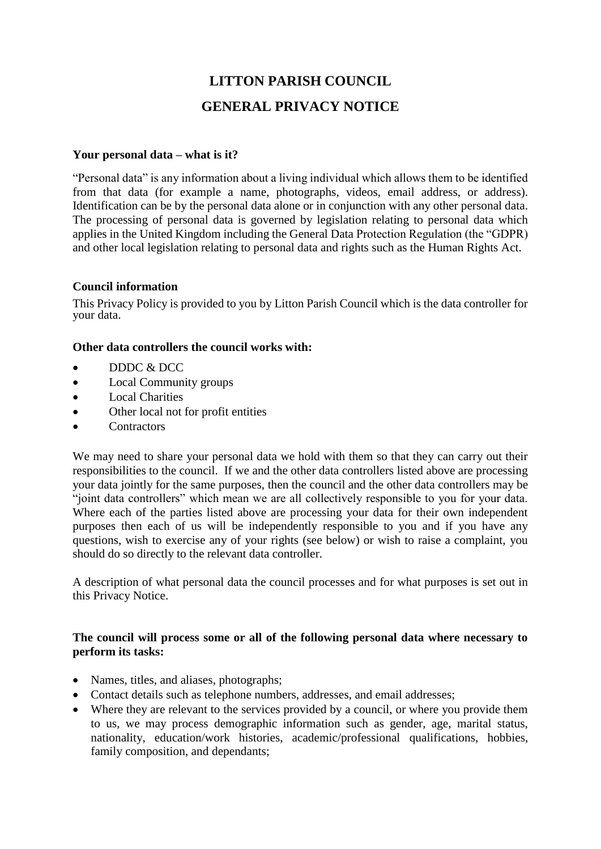# **LITTON PARISH COUNCIL GENERAL PRIVACY NOTICE**

## **Your personal data – what is it?**

"Personal data" is any information about a living individual which allows them to be identified from that data (for example a name, photographs, videos, email address, or address). Identification can be by the personal data alone or in conjunction with any other personal data. The processing of personal data is governed by legislation relating to personal data which applies in the United Kingdom including the General Data Protection Regulation (the "GDPR) and other local legislation relating to personal data and rights such as the Human Rights Act.

#### **Council information**

This Privacy Policy is provided to you by Litton Parish Council which is the data controller for your data.

## **Other data controllers the council works with:**

- DDDC & DCC
- Local Community groups
- Local Charities
- Other local not for profit entities
- **Contractors**

We may need to share your personal data we hold with them so that they can carry out their responsibilities to the council. If we and the other data controllers listed above are processing your data jointly for the same purposes, then the council and the other data controllers may be "joint data controllers" which mean we are all collectively responsible to you for your data. Where each of the parties listed above are processing your data for their own independent purposes then each of us will be independently responsible to you and if you have any questions, wish to exercise any of your rights (see below) or wish to raise a complaint, you should do so directly to the relevant data controller.

A description of what personal data the council processes and for what purposes is set out in this Privacy Notice.

## **The council will process some or all of the following personal data where necessary to perform its tasks:**

- Names, titles, and aliases, photographs;
- Contact details such as telephone numbers, addresses, and email addresses;
- Where they are relevant to the services provided by a council, or where you provide them to us, we may process demographic information such as gender, age, marital status, nationality, education/work histories, academic/professional qualifications, hobbies, family composition, and dependants;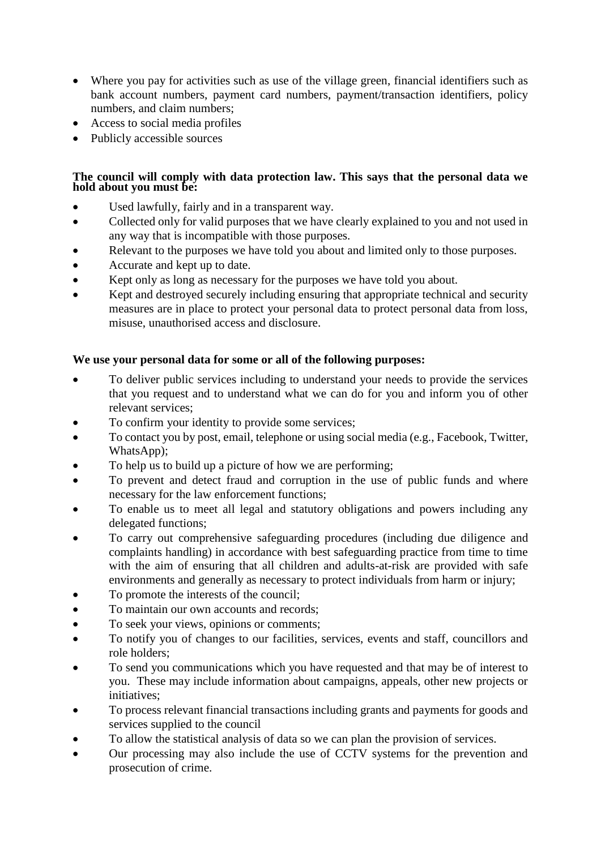- Where you pay for activities such as use of the village green, financial identifiers such as bank account numbers, payment card numbers, payment/transaction identifiers, policy numbers, and claim numbers;
- Access to social media profiles
- Publicly accessible sources

## **The council will comply with data protection law. This says that the personal data we hold about you must be:**

- Used lawfully, fairly and in a transparent way.
- Collected only for valid purposes that we have clearly explained to you and not used in any way that is incompatible with those purposes.
- Relevant to the purposes we have told you about and limited only to those purposes.
- Accurate and kept up to date.
- Kept only as long as necessary for the purposes we have told you about.
- Kept and destroyed securely including ensuring that appropriate technical and security measures are in place to protect your personal data to protect personal data from loss, misuse, unauthorised access and disclosure.

# **We use your personal data for some or all of the following purposes:**

- To deliver public services including to understand your needs to provide the services that you request and to understand what we can do for you and inform you of other relevant services;
- To confirm your identity to provide some services;
- To contact you by post, email, telephone or using social media (e.g., Facebook, Twitter, WhatsApp);
- To help us to build up a picture of how we are performing;
- To prevent and detect fraud and corruption in the use of public funds and where necessary for the law enforcement functions;
- To enable us to meet all legal and statutory obligations and powers including any delegated functions;
- To carry out comprehensive safeguarding procedures (including due diligence and complaints handling) in accordance with best safeguarding practice from time to time with the aim of ensuring that all children and adults-at-risk are provided with safe environments and generally as necessary to protect individuals from harm or injury;
- To promote the interests of the council;
- To maintain our own accounts and records;
- To seek your views, opinions or comments;
- To notify you of changes to our facilities, services, events and staff, councillors and role holders;
- To send you communications which you have requested and that may be of interest to you. These may include information about campaigns, appeals, other new projects or initiatives;
- To process relevant financial transactions including grants and payments for goods and services supplied to the council
- To allow the statistical analysis of data so we can plan the provision of services.
- Our processing may also include the use of CCTV systems for the prevention and prosecution of crime.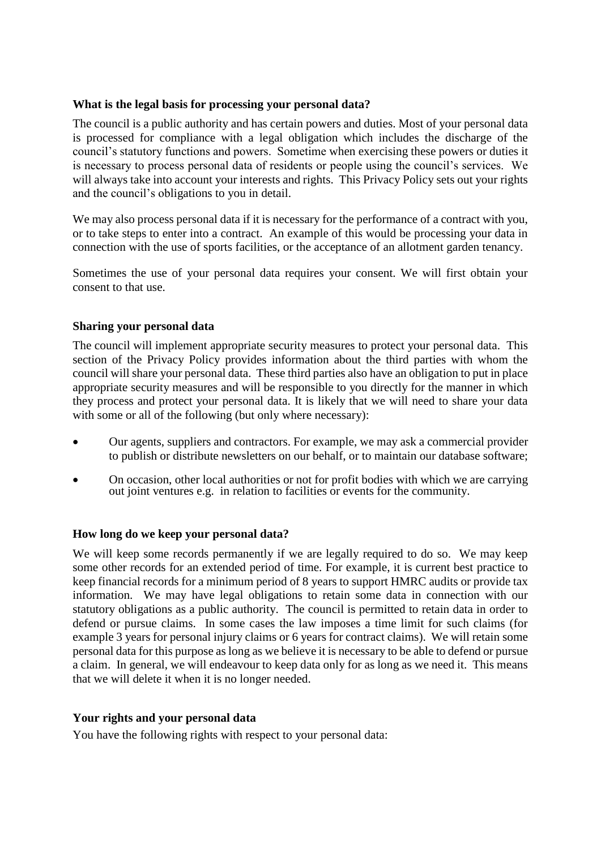#### **What is the legal basis for processing your personal data?**

The council is a public authority and has certain powers and duties. Most of your personal data is processed for compliance with a legal obligation which includes the discharge of the council's statutory functions and powers. Sometime when exercising these powers or duties it is necessary to process personal data of residents or people using the council's services. We will always take into account your interests and rights. This Privacy Policy sets out your rights and the council's obligations to you in detail.

We may also process personal data if it is necessary for the performance of a contract with you, or to take steps to enter into a contract. An example of this would be processing your data in connection with the use of sports facilities, or the acceptance of an allotment garden tenancy.

Sometimes the use of your personal data requires your consent. We will first obtain your consent to that use.

## **Sharing your personal data**

The council will implement appropriate security measures to protect your personal data. This section of the Privacy Policy provides information about the third parties with whom the council will share your personal data. These third parties also have an obligation to put in place appropriate security measures and will be responsible to you directly for the manner in which they process and protect your personal data. It is likely that we will need to share your data with some or all of the following (but only where necessary):

- Our agents, suppliers and contractors. For example, we may ask a commercial provider to publish or distribute newsletters on our behalf, or to maintain our database software;
- On occasion, other local authorities or not for profit bodies with which we are carrying out joint ventures e.g. in relation to facilities or events for the community.

#### **How long do we keep your personal data?**

We will keep some records permanently if we are legally required to do so. We may keep some other records for an extended period of time. For example, it is current best practice to keep financial records for a minimum period of 8 years to support HMRC audits or provide tax information. We may have legal obligations to retain some data in connection with our statutory obligations as a public authority. The council is permitted to retain data in order to defend or pursue claims. In some cases the law imposes a time limit for such claims (for example 3 years for personal injury claims or 6 years for contract claims). We will retain some personal data for this purpose as long as we believe it is necessary to be able to defend or pursue a claim. In general, we will endeavour to keep data only for as long as we need it. This means that we will delete it when it is no longer needed.

#### **Your rights and your personal data**

You have the following rights with respect to your personal data: